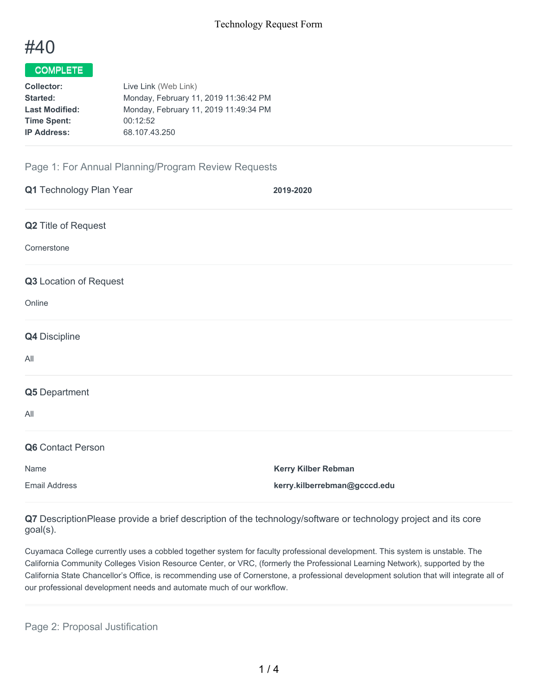

# COMPLETE

| <b>Collector:</b>     | Live Link (Web Link)                  |
|-----------------------|---------------------------------------|
| Started:              | Monday, February 11, 2019 11:36:42 PM |
| <b>Last Modified:</b> | Monday, February 11, 2019 11:49:34 PM |
| <b>Time Spent:</b>    | 00:12:52                              |
| <b>IP Address:</b>    | 68.107.43.250                         |
|                       |                                       |

## Page 1: For Annual Planning/Program Review Requests

| Q1 Technology Plan Year | 2019-2020                    |
|-------------------------|------------------------------|
| Q2 Title of Request     |                              |
| Cornerstone             |                              |
| Q3 Location of Request  |                              |
| Online                  |                              |
| Q4 Discipline           |                              |
| All                     |                              |
| Q5 Department           |                              |
| All                     |                              |
| Q6 Contact Person       |                              |
| Name                    | Kerry Kilber Rebman          |
| <b>Email Address</b>    | kerry.kilberrebman@gcccd.edu |

**Q7** DescriptionPlease provide a brief description of the technology/software or technology project and its core goal(s).

Cuyamaca College currently uses a cobbled together system for faculty professional development. This system is unstable. The California Community Colleges Vision Resource Center, or VRC, (formerly the Professional Learning Network), supported by the California State Chancellor's Office, is recommending use of Cornerstone, a professional development solution that will integrate all of our professional development needs and automate much of our workflow.

Page 2: Proposal Justification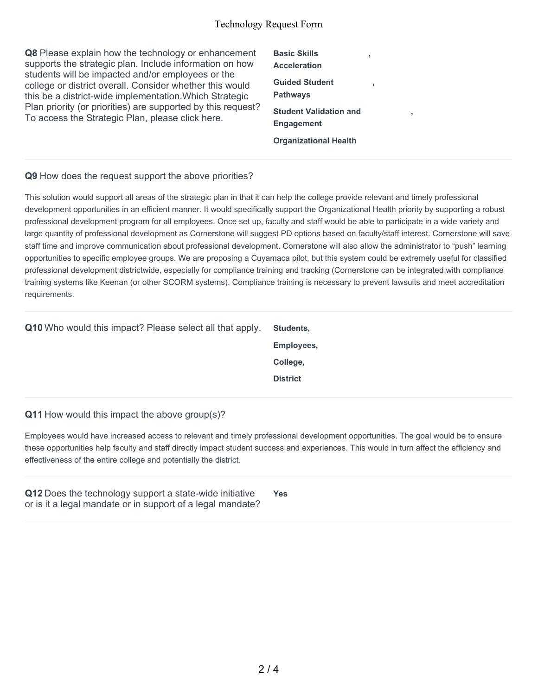#### Technology Request Form

**Q8** Please explain how the technology or enhancement supports the strategic plan. Include information on how students will be impacted and/or employees or the college or district overall. Consider whether this would this be a district-wide implementation.Which Strategic Plan priority (or priorities) are supported by this request? To access the Strategic Plan, please click here.

**Basic Skills Acceleration Guided Student Pathways Student Validation and Engagement Organizational Health**

**,**

**,**

**,**

### **Q9** How does the request support the above priorities?

This solution would support all areas of the strategic plan in that it can help the college provide relevant and timely professional development opportunities in an efficient manner. It would specifically support the Organizational Health priority by supporting a robust professional development program for all employees. Once set up, faculty and staff would be able to participate in a wide variety and large quantity of professional development as Cornerstone will suggest PD options based on faculty/staff interest. Cornerstone will save staff time and improve communication about professional development. Cornerstone will also allow the administrator to "push" learning opportunities to specific employee groups. We are proposing a Cuyamaca pilot, but this system could be extremely useful for classified professional development districtwide, especially for compliance training and tracking (Cornerstone can be integrated with compliance training systems like Keenan (or other SCORM systems). Compliance training is necessary to prevent lawsuits and meet accreditation requirements.

| <b>Q10</b> Who would this impact? Please select all that apply. | Students,       |
|-----------------------------------------------------------------|-----------------|
|                                                                 | Employees,      |
|                                                                 | College,        |
|                                                                 | <b>District</b> |
|                                                                 |                 |

#### **Q11** How would this impact the above group(s)?

Employees would have increased access to relevant and timely professional development opportunities. The goal would be to ensure these opportunities help faculty and staff directly impact student success and experiences. This would in turn affect the efficiency and effectiveness of the entire college and potentially the district.

| Q12 Does the technology support a state-wide initiative    | <b>Yes</b> |
|------------------------------------------------------------|------------|
| or is it a legal mandate or in support of a legal mandate? |            |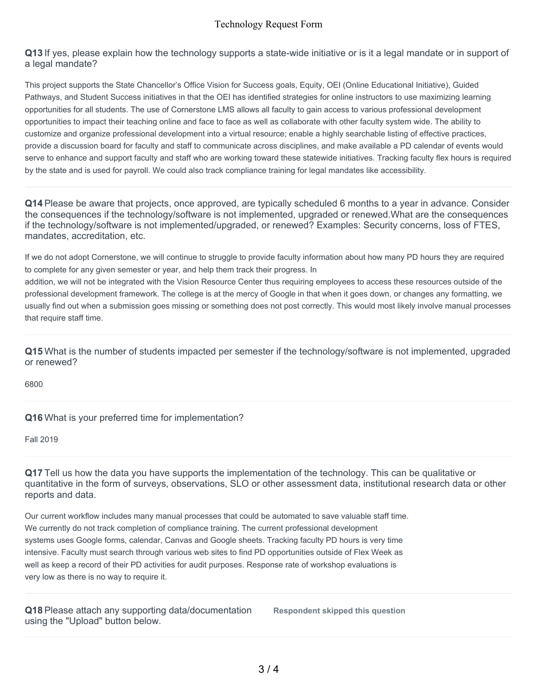**Q13** If yes, please explain how the technology supports a state-wide initiative or is it a legal mandate or in support of a legal mandate?

This project supports the State Chancellor's Office Vision for Success goals, Equity, OEI (Online Educational Initiative), Guided Pathways, and Student Success initiatives in that the OEI has identified strategies for online instructors to use maximizing learning opportunities for all students. The use of Cornerstone LMS allows all faculty to gain access to various professional development opportunities to impact their teaching online and face to face as well as collaborate with other faculty system wide. The ability to customize and organize professional development into a virtual resource; enable a highly searchable listing of effective practices, provide a discussion board for faculty and staff to communicate across disciplines, and make available a PD calendar of events would serve to enhance and support faculty and staff who are working toward these statewide initiatives. Tracking faculty flex hours is required by the state and is used for payroll. We could also track compliance training for legal mandates like accessibility.

**Q14** Please be aware that projects, once approved, are typically scheduled 6 months to a year in advance. Consider the consequences if the technology/software is not implemented, upgraded or renewed.What are the consequences if the technology/software is not implemented/upgraded, or renewed? Examples: Security concerns, loss of FTES, mandates, accreditation, etc.

If we do not adopt Cornerstone, we will continue to struggle to provide faculty information about how many PD hours they are required to complete for any given semester or year, and help them track their progress. In

addition, we will not be integrated with the Vision Resource Center thus requiring employees to access these resources outside of the professional development framework. The college is at the mercy of Google in that when it goes down, or changes any formatting, we usually find out when a submission goes missing or something does not post correctly. This would most likely involve manual processes that require staff time.

**Q15** What is the number of students impacted per semester if the technology/software is not implemented, upgraded or renewed?

6800

**Q16** What is your preferred time for implementation?

Fall 2019

**Q17** Tell us how the data you have supports the implementation of the technology. This can be qualitative or quantitative in the form of surveys, observations, SLO or other assessment data, institutional research data or other reports and data.

Our current workflow includes many manual processes that could be automated to save valuable staff time. We currently do not track completion of compliance training. The current professional development systems uses Google forms, calendar, Canvas and Google sheets. Tracking faculty PD hours is very time intensive. Faculty must search through various web sites to find PD opportunities outside of Flex Week as well as keep a record of their PD activities for audit purposes. Response rate of workshop evaluations is very low as there is no way to require it.

**Q18** Please attach any supporting data/documentation using the "Upload" button below.

**Respondent skipped this question**